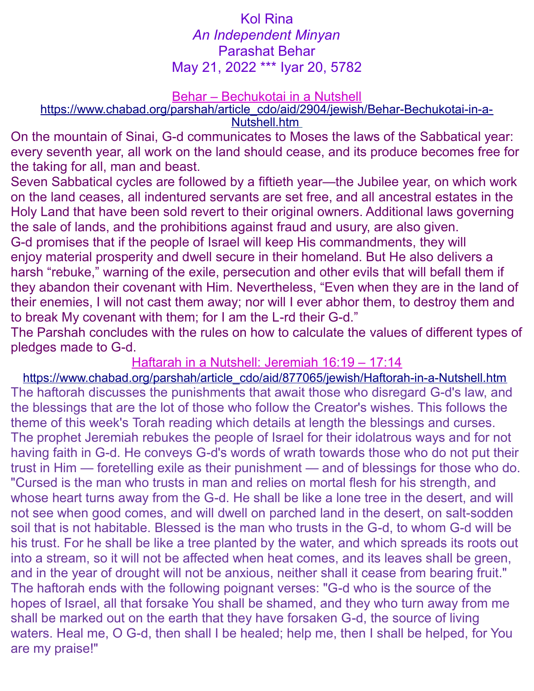## Kol Rina *An Independent Minyan* Parashat Behar May 21, 2022 \*\*\* Iyar 20, 5782

#### Behar – Bechukotai in a Nutshell

[https://www.chabad.org/parshah/article\\_cdo/aid/2904/jewish/Behar-Bechukotai-in-a-](https://www.chabad.org/parshah/article_cdo/aid/2904/jewish/Behar-Bechukotai-in-a-Nutshell.htm) Nutshell.htm

On the mountain of Sinai, G-d communicates to Moses the laws of the Sabbatical year: every seventh year, all work on the land should cease, and its produce becomes free for the taking for all, man and beast.

Seven Sabbatical cycles are followed by a fiftieth year—the Jubilee year, on which work on the land ceases, all indentured servants are set free, and all ancestral estates in the Holy Land that have been sold revert to their original owners. Additional laws governing the sale of lands, and the prohibitions against fraud and usury, are also given. G-d promises that if the people of Israel will keep His commandments, they will enjoy material prosperity and dwell secure in their homeland. But He also delivers a harsh "rebuke," warning of the exile, persecution and other evils that will befall them if they abandon their covenant with Him. Nevertheless, "Even when they are in the land of their enemies, I will not cast them away; nor will I ever abhor them, to destroy them and to break My covenant with them; for I am the L-rd their G-d."

The Parshah concludes with the rules on how to calculate the values of different types of pledges made to G-d.

Haftarah in a Nutshell: Jeremiah 16:19 – 17:14

[https://www.chabad.org/parshah/article\\_cdo/aid/877065/jewish/Haftorah-in-a-Nutshell.htm](https://www.chabad.org/parshah/article_cdo/aid/877065/jewish/Haftorah-in-a-Nutshell.htm) The haftorah discusses the punishments that await those who disregard G-d's law, and the blessings that are the lot of those who follow the Creator's wishes. This follows the theme of this week's Torah reading which details at length the blessings and curses. The prophet Jeremiah rebukes the people of Israel for their idolatrous ways and for not having faith in G-d. He conveys G-d's words of wrath towards those who do not put their trust in Him — foretelling exile as their punishment — and of blessings for those who do. "Cursed is the man who trusts in man and relies on mortal flesh for his strength, and whose heart turns away from the G-d. He shall be like a lone tree in the desert, and will not see when good comes, and will dwell on parched land in the desert, on salt-sodden soil that is not habitable. Blessed is the man who trusts in the G-d, to whom G-d will be his trust. For he shall be like a tree planted by the water, and which spreads its roots out into a stream, so it will not be affected when heat comes, and its leaves shall be green, and in the year of drought will not be anxious, neither shall it cease from bearing fruit." The haftorah ends with the following poignant verses: "G-d who is the source of the hopes of Israel, all that forsake You shall be shamed, and they who turn away from me shall be marked out on the earth that they have forsaken G-d, the source of living waters. Heal me, O G-d, then shall I be healed; help me, then I shall be helped, for You are my praise!"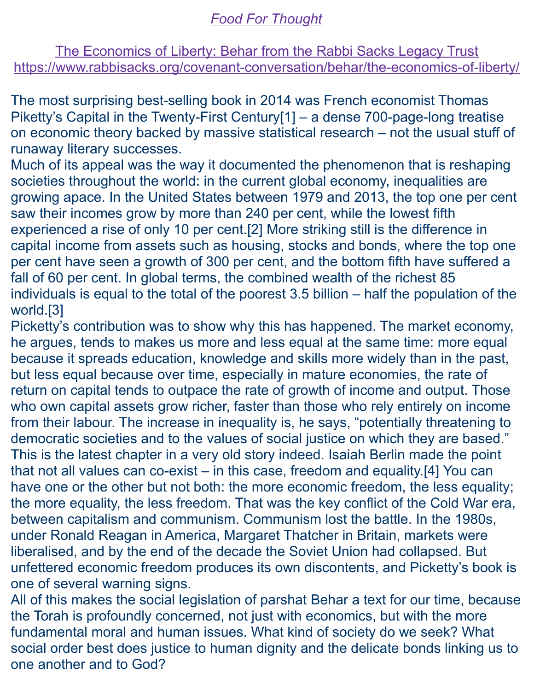# *Food For Thought*

The Economics of Liberty: Behar from the Rabbi Sacks Legacy Trust <https://www.rabbisacks.org/covenant-conversation/behar/the-economics-of-liberty/>

The most surprising best-selling book in 2014 was French economist Thomas Piketty's Capital in the Twenty-First Centur[y\[1\]](https://www.rabbisacks.org/covenant-conversation/behar/the-economics-of-liberty/#_ftn1) – a dense 700-page-long treatise on economic theory backed by massive statistical research – not the usual stuff of runaway literary successes.

Much of its appeal was the way it documented the phenomenon that is reshaping societies throughout the world: in the [current global economy,](https://www.rabbisacks.org/quotes/economics-needs-ethics/) inequalities are growing apace. In the United States between 1979 and 2013, the top one per cent saw their incomes grow by more than 240 per cent, while the lowest fifth experienced a rise of only 10 per cent[.\[2\]](https://www.rabbisacks.org/covenant-conversation/behar/the-economics-of-liberty/#_ftn1) More striking still is the difference in capital income from assets such as housing, stocks and bonds, where the top one per cent have seen a growth of 300 per cent, and the bottom fifth have suffered a fall of 60 per cent. In global terms, the combined wealth of the richest 85 individuals is equal to the total of the poorest 3.5 billion – half the population of the world[.\[3\]](https://www.rabbisacks.org/covenant-conversation/behar/the-economics-of-liberty/#_ftn2)

Picketty's contribution was to show why this has happened. The market economy, he argues, tends to makes us more and less equal at the same time: more equal because it spreads education, knowledge and skills more widely than in the past, but less equal because over time, especially in mature economies, the rate of return on capital tends to outpace the rate of growth of income and output. Those who own capital assets grow richer, faster than those who rely entirely on income from their labour. The increase in inequality is, he says, "potentially threatening to democratic societies and to the values of social justice on which they are based." This is the latest chapter in a very old story indeed. Isaiah Berlin made the point that not all values can co-exist – in this case, freedom and equality[.\[4\]](https://www.rabbisacks.org/covenant-conversation/behar/the-economics-of-liberty/#_ftn3) You can have one or the other but not both: the more economic freedom, the less equality; the more equality, the less freedom. That was the key conflict of the Cold War era, between capitalism and communism. Communism lost the battle. In the 1980s, under Ronald Reagan in America, [Margaret Thatcher](https://www.rabbisacks.org/archive/baroness-thatcher-was-a-parliamentary-boadicea/) in Britain, markets were liberalised, and by the end of the decade the Soviet Union had collapsed. But unfettered economic freedom produces its own discontents, and Picketty's book is one of several warning signs.

All of this makes the social legislation of parshat [Behar](https://www.rabbisacks.org/covenant-conversation/behar/) a text for our time, because the Torah is profoundly concerned, not just with economics, but with the more fundamental moral and human issues. What kind of society do we seek? What social order best does justice to human dignity and the delicate bonds linking us to one another and to God?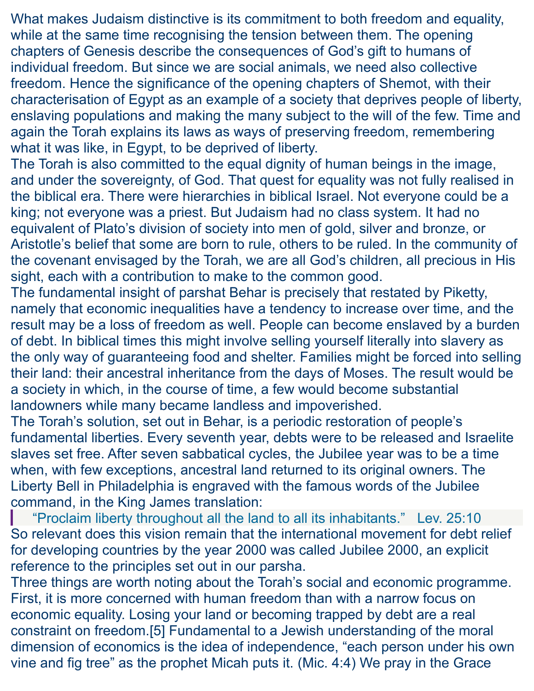What makes Judaism distinctive is its commitment to both freedom and equality, while at the same time recognising the tension between them. The opening chapters of Genesis describe the consequences of God's gift to humans of individual freedom. But since we are social animals, we need also collective freedom. Hence the significance of the opening chapters of [Shemot,](https://www.rabbisacks.org/covenant-conversation/shemot/) with their characterisation of Egypt as an example of a society that deprives people of liberty, enslaving populations and making the many subject to the will of the few. Time and again the Torah explains its laws as ways of preserving freedom, remembering what it was like, in Egypt, to be deprived of liberty.

The Torah is also committed to the equal dignity of human beings in the image, and under the sovereignty, of God. That quest for equality was not fully realised in the biblical era. There were hierarchies in biblical Israel. Not everyone could be a king; not everyone was a priest. But Judaism had no class system. It had no equivalent of Plato's division of society into men of gold, silver and bronze, or Aristotle's belief that some are born to rule, others to be ruled. In the community of the covenant envisaged by the Torah, we are all God's children, all precious in His sight, each with a contribution to make to the common good.

The fundamental insight of parshat Behar is precisely that restated by Piketty, namely that economic inequalities have a tendency to increase over time, and the result may be a loss of freedom as well. People can become enslaved by a burden of debt. In biblical times this might involve selling yourself literally into slavery as the only way of guaranteeing food and shelter. Families might be forced into selling their land: their ancestral inheritance from the days of Moses. The result would be a society in which, in the course of time, a few would become substantial landowners while many became landless and impoverished.

The Torah's solution, set out in Behar, is a periodic restoration of people's fundamental liberties. Every seventh year, debts were to be released and Israelite slaves set free. After seven sabbatical cycles, the Jubilee year was to be a time when, with few exceptions, ancestral land returned to its original owners. The Liberty Bell in Philadelphia is engraved with the famous words of the Jubilee command, in the King James translation:

"Proclaim liberty throughout all the land to all its inhabitants." [Lev. 25:10](https://www.sefaria.org/Leviticus.25.10?lang=he-en&utm_source=rabbisacks.org&utm_medium=sefaria_linker) So relevant does this vision remain that the international movement for debt relief for developing countries by the year 2000 was called Jubilee 2000, an explicit reference to the principles set out in our parsha.

Three things are worth noting about the Torah's social and economic programme. First, it is more concerned with human freedom than with a narrow focus on economic equality. Losing your land or becoming trapped by debt are a real constraint on freedom[.\[5\]](https://www.rabbisacks.org/covenant-conversation/behar/the-economics-of-liberty/#_ftn4) Fundamental to a Jewish understanding of the moral dimension of economics is the idea of independence, "each person under his own vine and fig tree" as the prophet Micah puts it. [\(Mic. 4:4\)](https://www.sefaria.org/Micah.4.4?lang=he-en&utm_source=rabbisacks.org&utm_medium=sefaria_linker) We pray in the Grace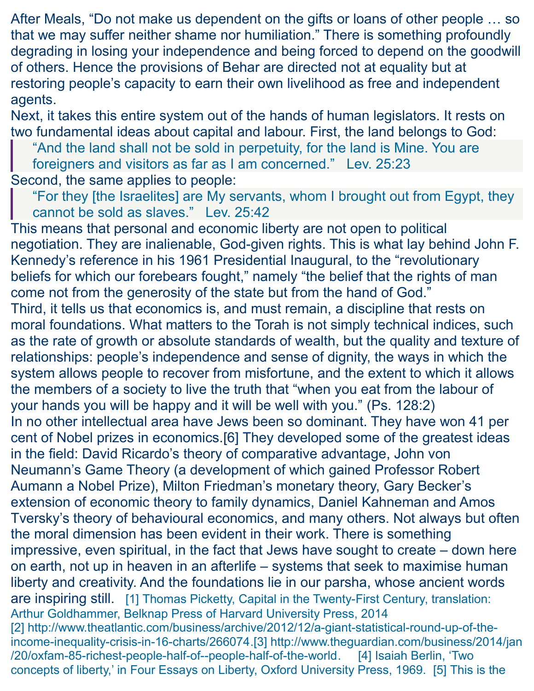After Meals, "Do not make us dependent on the gifts or loans of other people … so that we may suffer neither shame nor humiliation." There is something profoundly degrading in losing your independence and being forced to depend on the goodwill of others. Hence the provisions of Behar are directed not at equality but at restoring people's capacity to earn their own livelihood as free and independent agents.

Next, it takes this entire system out of the hands of human legislators. It rests on two fundamental ideas about capital and labour. First, the land belongs to God:

"And the land shall not be sold in perpetuity, for the land is Mine. You are

foreigners and visitors as far as I am concerned." [Lev. 25:23](https://www.sefaria.org/Leviticus.25.23?lang=he-en&utm_source=rabbisacks.org&utm_medium=sefaria_linker) Second, the same applies to people:

"For they [the Israelites] are My servants, whom I brought out from Egypt, they cannot be sold as slaves." [Lev. 25:42](https://www.sefaria.org/Leviticus.25.42?lang=he-en&utm_source=rabbisacks.org&utm_medium=sefaria_linker)

This means that personal and economic liberty are not open to political negotiation. They are inalienable, God-given rights. This is what lay behind John F. Kennedy's reference in his 1961 Presidential Inaugural, to the "revolutionary beliefs for which our forebears fought," namely "the belief that the rights of man come not from the generosity of the state but from the hand of God." Third, it tells us that economics is, and must remain, [a discipline that rests on](https://www.rabbisacks.org/quotes/physical-and-moral-ecology/)  [moral foundations.](https://www.rabbisacks.org/quotes/physical-and-moral-ecology/) What matters to the Torah is not simply technical indices, such as the rate of growth or absolute standards of wealth, but the quality and texture of relationships: people's independence and sense of dignity, the ways in which the system allows people to recover from misfortune, and the extent to which it allows the members of a society to live the truth that "when you eat from the labour of your hands you will be happy and it will be well with you." [\(Ps. 128:2\)](https://www.sefaria.org/Psalms.128.2?lang=he-en&utm_source=rabbisacks.org&utm_medium=sefaria_linker) In no other intellectual area have Jews been so dominant. They have won 41 per cent of Nobel prizes in economics[.\[6\]](https://www.rabbisacks.org/covenant-conversation/behar/the-economics-of-liberty/#_ftn5) They developed some of the greatest ideas in the field: David Ricardo's theory of comparative advantage, John von Neumann's Game Theory (a development of which gained Professor Robert Aumann a Nobel Prize), Milton Friedman's monetary theory, Gary Becker's extension of economic theory to family dynamics, Daniel Kahneman and Amos Tversky's theory of behavioural economics, and many others. Not always but often the moral dimension has been evident in their work. There is something impressive, even spiritual, in the fact that Jews have sought to create – down here on earth, not up in heaven in an afterlife – systems that seek to maximise human liberty and creativity. And the foundations lie in our parsha, whose ancient words are inspiring still. [\[1\]](https://www.rabbisacks.org/covenant-conversation/behar/the-economics-of-liberty/#_ftnref1) Thomas Picketty, Capital in the Twenty-First Century, translation: Arthur Goldhammer, Belknap Press of Harvard University Press, 2014 [2] [http://www.theatlantic.com/business/archive/2012/12/a-giant-statistical-round-up-of-the](http://www.theatlantic.com/business/archive/2012/12/a-giant-statistical-round-up-of-the-income-inequality-crisis-in-16-charts/266074)[income-inequality-crisis-in-16-charts/266074.](http://www.theatlantic.com/business/archive/2012/12/a-giant-statistical-round-up-of-the-income-inequality-crisis-in-16-charts/266074)[\[3\]](https://www.rabbisacks.org/covenant-conversation/behar/the-economics-of-liberty/#_ftnref2) [http://www.theguardian.com/business/2014/jan](http://www.theguardian.com/business/2014/jan/20/oxfam-85-richest-people-half-of--people-half-of-the-world) [/20/oxfam-85-richest-people-half-of--people-half-of-the-world.](http://www.theguardian.com/business/2014/jan/20/oxfam-85-richest-people-half-of--people-half-of-the-world) [\[4\]](https://www.rabbisacks.org/covenant-conversation/behar/the-economics-of-liberty/#_ftnref3) Isaiah Berlin, 'Two concepts of liberty,' in Four Essays on Liberty, Oxford University Press, 1969. [\[5\]](https://www.rabbisacks.org/covenant-conversation/behar/the-economics-of-liberty/#_ftnref4) This is the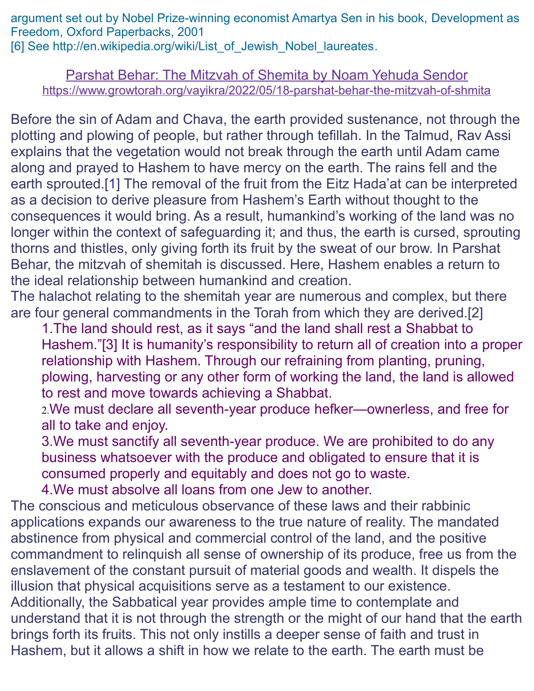argument set out by Nobel Prize-winning economist Amartya Sen in his book, Development as Freedom, Oxford Paperbacks, 2001 [\[6\]](https://www.rabbisacks.org/covenant-conversation/behar/the-economics-of-liberty/#_ftnref5) See [http://en.wikipedia.org/wiki/List\\_of\\_Jewish\\_Nobel\\_laureates.](https://en.wikipedia.org/wiki/List_of_Jewish_Nobel_laureates)

Parshat Behar: The Mitzvah of Shemita by Noam Yehuda Sendor <https://www.growtorah.org/vayikra/2022/05/18-parshat-behar-the-mitzvah-of-shmita>

Before the sin of Adam and Chava, the earth provided sustenance, not through the plotting and plowing of people, but rather through tefillah. In the Talmud, Rav Assi explains that the vegetation would not break through the earth until Adam came along and prayed to Hashem to have mercy on the earth. The rains fell and the earth sprouted.[1] The removal of the fruit from the Eitz Hada'at can be interpreted as a decision to derive pleasure from Hashem's Earth without thought to the consequences it would bring. As a result, humankind's working of the land was no longer within the context of safeguarding it; and thus, the earth is cursed, sprouting thorns and thistles, only giving forth its fruit by the sweat of our brow. In Parshat Behar, the mitzvah of shemitah is discussed. Here, Hashem enables a return to the ideal relationship between humankind and creation.

The halachot relating to the shemitah year are numerous and complex, but there are four general commandments in the Torah from which they are derived.[2]

1.The land should rest, as it says "and the land shall rest a Shabbat to Hashem."[3] It is humanity's responsibility to return all of creation into a proper relationship with Hashem. Through our refraining from planting, pruning, plowing, harvesting or any other form of working the land, the land is allowed to rest and move towards achieving a Shabbat.

2.We must declare all seventh-year produce hefker—ownerless, and free for all to take and enjoy.

3.We must sanctify all seventh-year produce. We are prohibited to do any business whatsoever with the produce and obligated to ensure that it is consumed properly and equitably and does not go to waste.

4.We must absolve all loans from one Jew to another.

The conscious and meticulous observance of these laws and their rabbinic applications expands our awareness to the true nature of reality. The mandated abstinence from physical and commercial control of the land, and the positive commandment to relinquish all sense of ownership of its produce, free us from the enslavement of the constant pursuit of material goods and wealth. It dispels the illusion that physical acquisitions serve as a testament to our existence. Additionally, the Sabbatical year provides ample time to contemplate and

understand that it is not through the strength or the might of our hand that the earth brings forth its fruits. This not only instills a deeper sense of faith and trust in Hashem, but it allows a shift in how we relate to the earth. The earth must be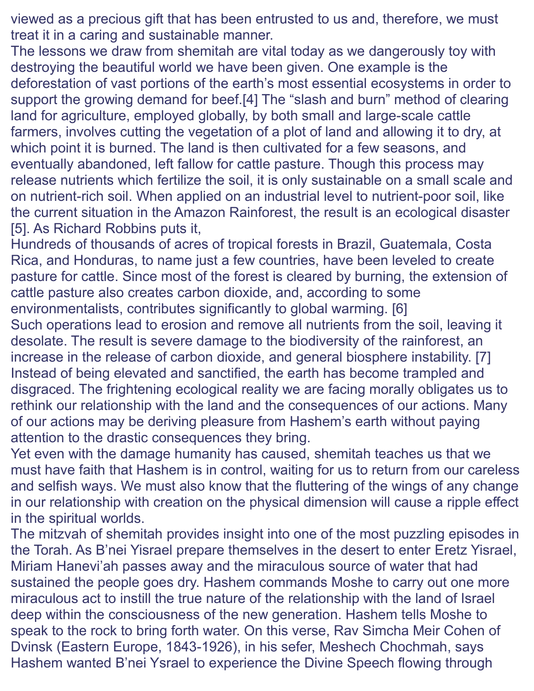viewed as a precious gift that has been entrusted to us and, therefore, we must treat it in a caring and sustainable manner.

The lessons we draw from shemitah are vital today as we dangerously toy with destroying the beautiful world we have been given. One example is the deforestation of vast portions of the earth's most essential ecosystems in order to support the growing demand for beef.[4] The "slash and burn" method of clearing land for agriculture, employed globally, by both small and large-scale cattle farmers, involves cutting the vegetation of a plot of land and allowing it to dry, at which point it is burned. The land is then cultivated for a few seasons, and eventually abandoned, left fallow for cattle pasture. Though this process may release nutrients which fertilize the soil, it is only sustainable on a small scale and on nutrient-rich soil. When applied on an industrial level to nutrient-poor soil, like the current situation in the Amazon Rainforest, the result is an ecological disaster [5]. As Richard Robbins puts it,

Hundreds of thousands of acres of tropical forests in Brazil, Guatemala, Costa Rica, and Honduras, to name just a few countries, have been leveled to create pasture for cattle. Since most of the forest is cleared by burning, the extension of cattle pasture also creates carbon dioxide, and, according to some environmentalists, contributes significantly to global warming. [6]

Such operations lead to erosion and remove all nutrients from the soil, leaving it desolate. The result is severe damage to the biodiversity of the rainforest, an increase in the release of carbon dioxide, and general biosphere instability. [7] Instead of being elevated and sanctified, the earth has become trampled and disgraced. The frightening ecological reality we are facing morally obligates us to rethink our relationship with the land and the consequences of our actions. Many of our actions may be deriving pleasure from Hashem's earth without paying attention to the drastic consequences they bring.

Yet even with the damage humanity has caused, shemitah teaches us that we must have faith that Hashem is in control, waiting for us to return from our careless and selfish ways. We must also know that the fluttering of the wings of any change in our relationship with creation on the physical dimension will cause a ripple effect in the spiritual worlds.

The mitzvah of shemitah provides insight into one of the most puzzling episodes in the Torah. As B'nei Yisrael prepare themselves in the desert to enter Eretz Yisrael, Miriam Hanevi'ah passes away and the miraculous source of water that had sustained the people goes dry. Hashem commands Moshe to carry out one more miraculous act to instill the true nature of the relationship with the land of Israel deep within the consciousness of the new generation. Hashem tells Moshe to speak to the rock to bring forth water. On this verse, Rav Simcha Meir Cohen of Dvinsk (Eastern Europe, 1843-1926), in his sefer, Meshech Chochmah, says Hashem wanted B'nei Ysrael to experience the Divine Speech flowing through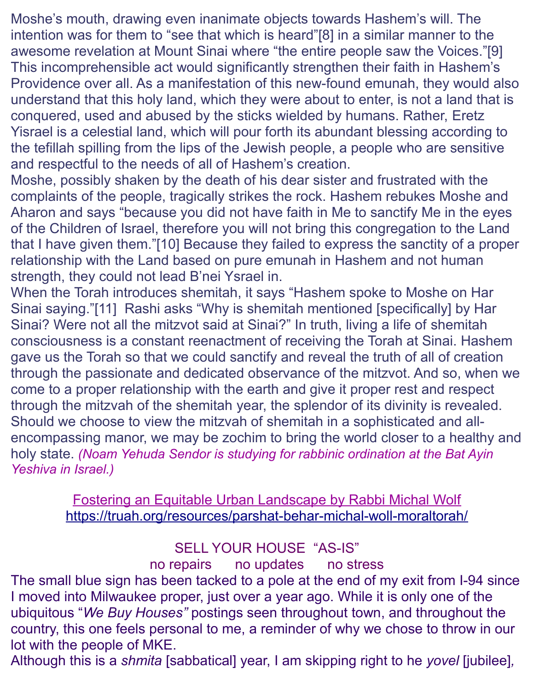Moshe's mouth, drawing even inanimate objects towards Hashem's will. The intention was for them to "see that which is heard"[8] in a similar manner to the awesome revelation at Mount Sinai where "the entire people saw the Voices."[9] This incomprehensible act would significantly strengthen their faith in Hashem's Providence over all. As a manifestation of this new-found emunah, they would also understand that this holy land, which they were about to enter, is not a land that is conquered, used and abused by the sticks wielded by humans. Rather, Eretz Yisrael is a celestial land, which will pour forth its abundant blessing according to the tefillah spilling from the lips of the Jewish people, a people who are sensitive and respectful to the needs of all of Hashem's creation.

Moshe, possibly shaken by the death of his dear sister and frustrated with the complaints of the people, tragically strikes the rock. Hashem rebukes Moshe and Aharon and says "because you did not have faith in Me to sanctify Me in the eyes of the Children of Israel, therefore you will not bring this congregation to the Land that I have given them."[10] Because they failed to express the sanctity of a proper relationship with the Land based on pure emunah in Hashem and not human strength, they could not lead B'nei Ysrael in.

When the Torah introduces shemitah, it says "Hashem spoke to Moshe on Har Sinai saying."[11] Rashi asks "Why is shemitah mentioned [specifically] by Har Sinai? Were not all the mitzvot said at Sinai?" In truth, living a life of shemitah consciousness is a constant reenactment of receiving the Torah at Sinai. Hashem gave us the Torah so that we could sanctify and reveal the truth of all of creation through the passionate and dedicated observance of the mitzvot. And so, when we come to a proper relationship with the earth and give it proper rest and respect through the mitzvah of the shemitah year, the splendor of its divinity is revealed. Should we choose to view the mitzvah of shemitah in a sophisticated and allencompassing manor, we may be zochim to bring the world closer to a healthy and holy state. *(Noam Yehuda Sendor is studying for rabbinic ordination at the Bat Ayin Yeshiva in Israel.)* 

> Fostering an Equitable Urban Landscape by Rabbi Michal Wolf <https://truah.org/resources/parshat-behar-michal-woll-moraltorah/>

## SELL YOUR HOUSE "AS-IS"

# no repairs no updates no stress

The small blue sign has been tacked to a pole at the end of my exit from I-94 since I moved into Milwaukee proper, just over a year ago. While it is only one of the ubiquitous "*We Buy Houses"* postings seen throughout town, and throughout the country, this one feels personal to me, a reminder of why we chose to throw in our lot with the people of MKE.

Although this is a *shmita* [sabbatical] year, I am skipping right to he *yovel* [jubilee]*,*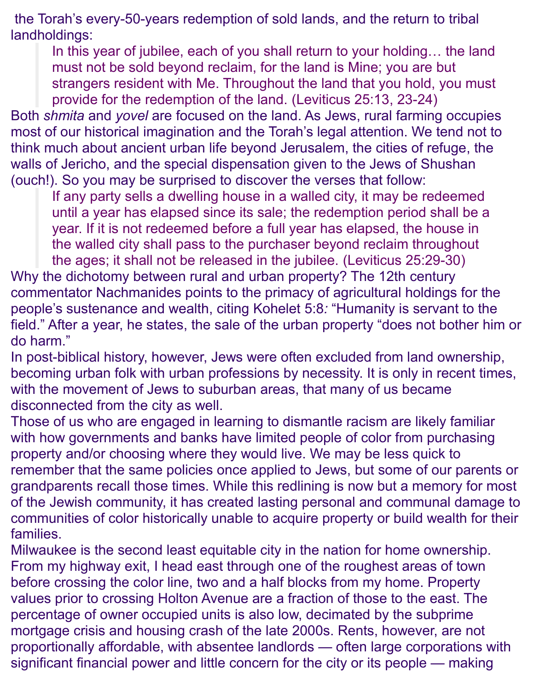the Torah's every-50-years redemption of sold lands, and the return to tribal landholdings:

In this year of jubilee, each of you shall return to your holding… the land must not be sold beyond reclaim, for the land is Mine; you are but strangers resident with Me. Throughout the land that you hold, you must provide for the redemption of the land. [\(Leviticus 25:13,](https://www.sefaria.org/Leviticus.25.13?ven=The_Contemporary_Torah,_Jewish_Publication_Society,_2006&vhe=Miqra_according_to_the_Masorah&lang=bi&aliyot=0) [23-24\)](https://www.sefaria.org/Leviticus.25.23?ven=The_Contemporary_Torah,_Jewish_Publication_Society,_2006&vhe=Miqra_according_to_the_Masorah&lang=bi&with=all&lang2=en)

Both *shmita* and *yovel* are focused on the land. As Jews, rural farming occupies most of our historical imagination and the Torah's legal attention. We tend not to think much about ancient urban life beyond Jerusalem, the cities of refuge, the walls of Jericho, and the special dispensation given to the Jews of Shushan (ouch!). So you may be surprised to discover the verses that follow:

If any party sells a dwelling house in a walled city, it may be redeemed until a year has elapsed since its sale; the redemption period shall be a year. If it is not redeemed before a full year has elapsed, the house in the walled city shall pass to the purchaser beyond reclaim throughout the ages; it shall not be released in the jubilee. [\(Leviticus 25:29-30\)](https://www.sefaria.org/Leviticus.25.29?ven=The_Contemporary_Torah,_Jewish_Publication_Society,_2006&vhe=Miqra_according_to_the_Masorah&lang=bi&with=all&lang2=en)

Why the dichotomy between rural and urban property? The 12th century commentator Nachmanides [points](https://www.sefaria.org/Leviticus.25.29?ven=The_Contemporary_Torah,_Jewish_Publication_Society,_2006&vhe=Miqra_according_to_the_Masorah&lang=bi&aliyot=0&p2=Ramban_on_Leviticus.25.29.1&ven2=Commentary_on_the_Torah_by_Ramban_(Nachmanides)._Translated_and_annotated_by_Charles_B._Chavel._New_York,_Shilo_Pub._House,_1971-1976&vhe2=On_Your_Way_New&lang2=bi) to the primacy of agricultural holdings for the people's sustenance and wealth, citing [Kohelet](https://www.sefaria.org/Ecclesiastes.5.8?ven=Tanakh:_The_Holy_Scriptures,_published_by_JPS&vhe=Miqra_according_to_the_Masorah&lang=bi) 5:8*:* "Humanity is servant to the field." After a year, he states, the sale of the urban property "does not bother him or do harm."

In post-biblical history, however, Jews were often excluded from land ownership, becoming urban folk with urban professions by necessity. It is only in recent times, with the movement of Jews to suburban areas, that many of us became disconnected from the city as well.

Those of us who are engaged in learning to dismantle racism are likely familiar with how governments and banks have limited people of color from purchasing property and/or choosing where they would live. We may be less quick to remember that the same policies once applied to Jews, but some of our parents or grandparents recall those times. While this redlining is now but a memory for most of the Jewish community, it has created lasting personal and communal damage to communities of color historically unable to acquire property or build wealth for their families.

Milwaukee is the second least equitable city in the nation for home ownership. From my highway exit, I head east through one of the roughest areas of town before crossing the color line, two and a half blocks from my home. Property values prior to crossing Holton Avenue are a fraction of those to the east. The percentage of owner occupied units is also low, decimated by the subprime mortgage crisis and housing crash of the late 2000s. Rents, however, are not proportionally affordable, with absentee landlords — often large corporations with significant financial power and little concern for the city or its people — making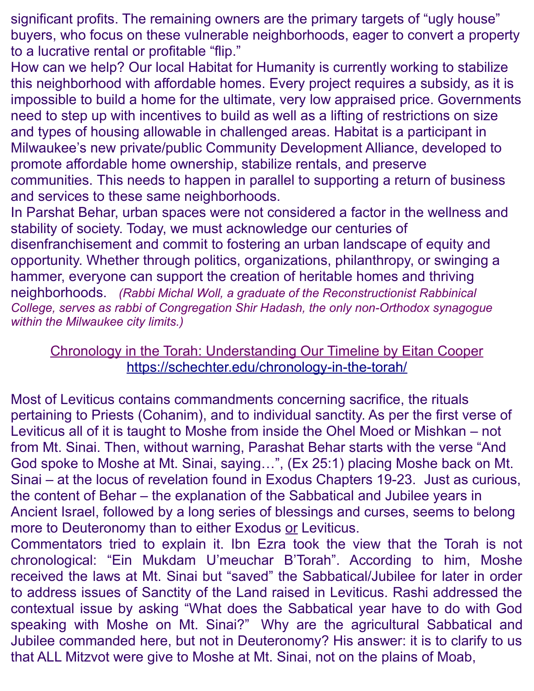significant profits. The remaining owners are the primary targets of "ugly house" buyers, who focus on these vulnerable neighborhoods, eager to convert a property to a lucrative rental or profitable "flip."

How can we help? Our local Habitat for Humanity is currently working to stabilize this neighborhood with affordable homes. Every project requires a subsidy, as it is impossible to build a home for the ultimate, very low appraised price. Governments need to step up with incentives to build as well as a lifting of restrictions on size and types of housing allowable in challenged areas. Habitat is a participant in Milwaukee's new private/public Community Development Alliance, developed to promote affordable home ownership, stabilize rentals, and preserve communities. This needs to happen in parallel to supporting a return of business and services to these same neighborhoods.

In Parshat Behar, urban spaces were not considered a factor in the wellness and stability of society. Today, we must acknowledge our centuries of disenfranchisement and commit to fostering an urban landscape of equity and opportunity. Whether through politics, organizations, philanthropy, or swinging a hammer, everyone can support the creation of heritable homes and thriving neighborhoods. *(Rabbi Michal Woll, a graduate of the Reconstructionist Rabbinical College, serves as rabbi of Congregation Shir Hadash, the only non-Orthodox synagogue within the Milwaukee city limits.)*

## Chronology in the Torah: Understanding Our Timeline by Eitan Cooper <https://schechter.edu/chronology-in-the-torah/>

Most of Leviticus contains commandments concerning sacrifice, the rituals pertaining to Priests (Cohanim), and to individual sanctity. As per the first verse of Leviticus all of it is taught to Moshe from inside the Ohel Moed or Mishkan – not from Mt. Sinai. Then, without warning, Parashat Behar starts with the verse "And God spoke to Moshe at Mt. Sinai, saying…", (Ex 25:1) placing Moshe back on Mt. Sinai – at the locus of revelation found in Exodus Chapters 19-23. Just as curious, the content of Behar – the explanation of the Sabbatical and Jubilee years in Ancient Israel, followed by a long series of blessings and curses, seems to belong more to Deuteronomy than to either Exodus or Leviticus.

Commentators tried to explain it. Ibn Ezra took the view that the Torah is not chronological: "Ein Mukdam U'meuchar B'Torah". According to him, Moshe received the laws at Mt. Sinai but "saved" the Sabbatical/Jubilee for later in order to address issues of Sanctity of the Land raised in Leviticus. Rashi addressed the contextual issue by asking "What does the Sabbatical year have to do with God speaking with Moshe on Mt. Sinai?" Why are the agricultural Sabbatical and Jubilee commanded here, but not in Deuteronomy? His answer: it is to clarify to us that ALL Mitzvot were give to Moshe at Mt. Sinai, not on the plains of Moab,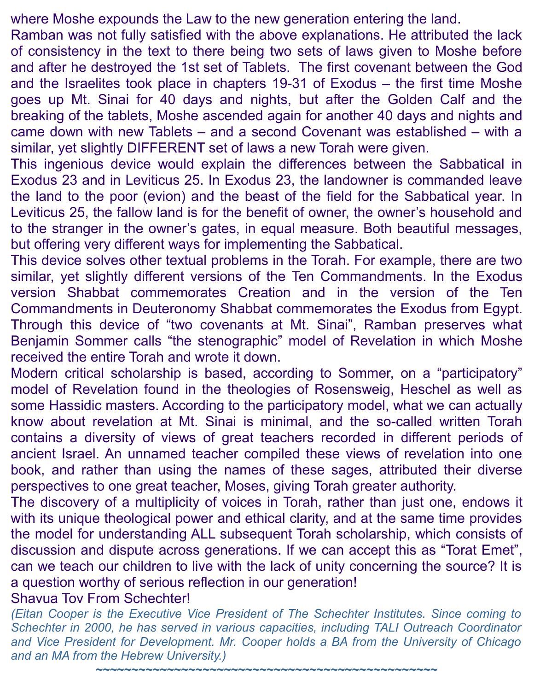where Moshe expounds the Law to the new generation entering the land.

Ramban was not fully satisfied with the above explanations. He attributed the lack of consistency in the text to there being two sets of laws given to Moshe before and after he destroyed the 1st set of Tablets. The first covenant between the God and the Israelites took place in chapters 19-31 of Exodus – the first time Moshe goes up Mt. Sinai for 40 days and nights, but after the Golden Calf and the breaking of the tablets, Moshe ascended again for another 40 days and nights and came down with new Tablets – and a second Covenant was established – with a similar, yet slightly DIFFERENT set of laws a new Torah were given.

This ingenious device would explain the differences between the Sabbatical in Exodus 23 and in Leviticus 25. In Exodus 23, the landowner is commanded leave the land to the poor (evion) and the beast of the field for the Sabbatical year. In Leviticus 25, the fallow land is for the benefit of owner, the owner's household and to the stranger in the owner's gates, in equal measure. Both beautiful messages, but offering very different ways for implementing the Sabbatical.

This device solves other textual problems in the Torah. For example, there are two similar, yet slightly different versions of the Ten Commandments. In the Exodus version Shabbat commemorates Creation and in the version of the Ten Commandments in Deuteronomy Shabbat commemorates the Exodus from Egypt. Through this device of "two covenants at Mt. Sinai", Ramban preserves what Benjamin Sommer calls "the stenographic" model of Revelation in which Moshe received the entire Torah and wrote it down.

Modern critical scholarship is based, according to Sommer, on a "participatory" model of Revelation found in the theologies of Rosensweig, Heschel as well as some Hassidic masters. According to the participatory model, what we can actually know about revelation at Mt. Sinai is minimal, and the so-called written Torah contains a diversity of views of great teachers recorded in different periods of ancient Israel. An unnamed teacher compiled these views of revelation into one book, and rather than using the names of these sages, attributed their diverse perspectives to one great teacher, Moses, giving Torah greater authority.

The discovery of a multiplicity of voices in Torah, rather than just one, endows it with its unique theological power and ethical clarity, and at the same time provides the model for understanding ALL subsequent Torah scholarship, which consists of discussion and dispute across generations. If we can accept this as "Torat Emet", can we teach our children to live with the lack of unity concerning the source? It is a question worthy of serious reflection in our generation!

### Shavua Tov From Schechter!

*(Eitan Cooper is the Executive Vice President of The Schechter Institutes. Since coming to Schechter in 2000, he has served in various capacities, including TALI Outreach Coordinator and Vice President for Development. Mr. Cooper holds a BA from the University of Chicago and an MA from the Hebrew University.)*